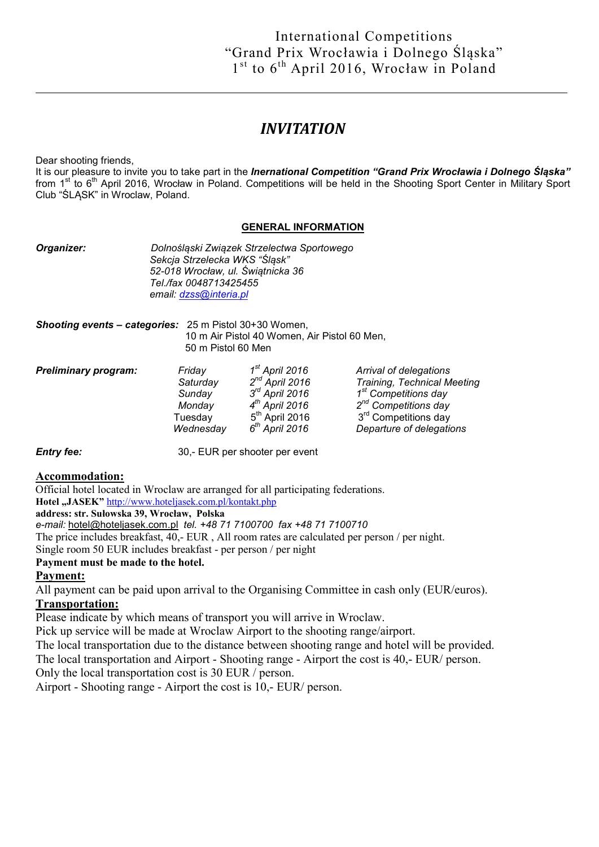# *INVITATION*

Dear shooting friends,

It is our pleasure to invite you to take part in the *Inernational Competition "Grand Prix Wrocławia i Dolnego Śląska"*  from  $1<sup>st</sup>$  to  $6<sup>th</sup>$  April 2016, Wrocław in Poland. Competitions will be held in the Shooting Sport Center in Military Sport Club "ŚLĄSK" in Wroclaw, Poland.

#### GENERAL INFORMATION

*Organizer: Dolnośląski Związek Strzelectwa Sportowego Sekcja Strzelecka WKS "Śląsk" 52-018 Wrocław, ul. Świątnicka 36 Tel./fax 0048713425455 email: dzss@interia.pl*

*Shooting events – categories:* 25 m Pistol 30+30 Women, 10 m Air Pistol 40 Women, Air Pistol 60 Men, 50 m Pistol 60 Men

| <b>Preliminary program:</b> | Friday<br>Saturday | 1 <sup>st</sup> April 2016<br>$2^{nd}$ April 2016 | Arrival of delegations<br><b>Training, Technical Meeting</b> |
|-----------------------------|--------------------|---------------------------------------------------|--------------------------------------------------------------|
|                             | Sunday             | $3rd$ April 2016                                  | 1 <sup>st</sup> Competitions day                             |
|                             | Monday             | 4 <sup>th</sup> April 2016                        | 2 <sup>nd</sup> Competitions day                             |
|                             | Tuesdav            | $5th$ April 2016                                  | 3 <sup>rd</sup> Competitions day                             |
|                             | Wednesday          | $6th$ April 2016                                  | Departure of delegations                                     |

*Entry fee:* 30,- EUR per shooter per event

#### Accommodation:

Official hotel located in Wroclaw are arranged for all participating federations. Hotel "JASEK" http://www.hoteljasek.com.pl/kontakt.php

address: str. Sułowska 39, Wrocław, Polska

*e-mail:* hotel@hoteljasek.com.pl *tel. +48 71 7100700 fax +48 71 7100710*

The price includes breakfast, 40,- EUR , All room rates are calculated per person / per night.

Single room 50 EUR includes breakfast - per person / per night

#### Payment must be made to the hotel.

### Payment:

All payment can be paid upon arrival to the Organising Committee in cash only (EUR/euros).

### Transportation:

Please indicate by which means of transport you will arrive in Wroclaw.

Pick up service will be made at Wroclaw Airport to the shooting range/airport.

The local transportation due to the distance between shooting range and hotel will be provided. The local transportation and Airport - Shooting range - Airport the cost is 40,- EUR/ person. Only the local transportation cost is 30 EUR / person.

Airport - Shooting range - Airport the cost is 10,- EUR/ person.